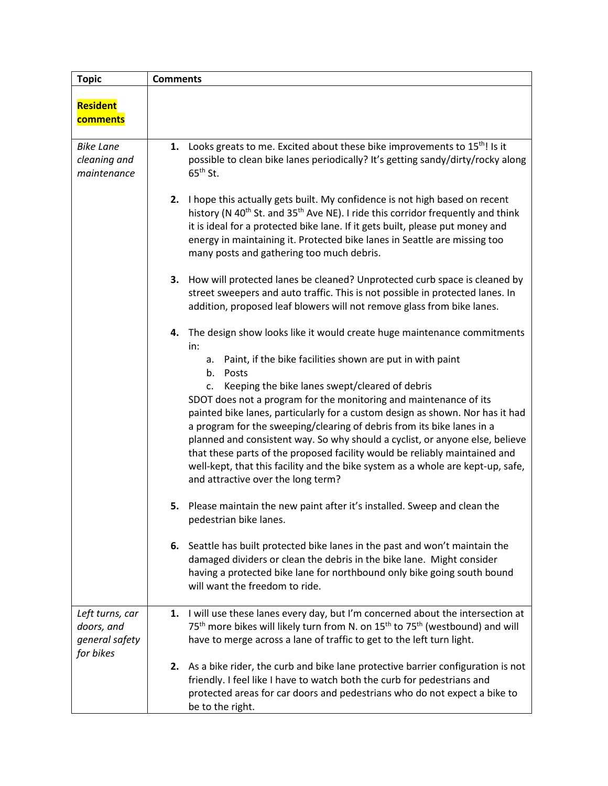| <b>Topic</b>                                                 | <b>Comments</b>                                                                                                                                                                                                                                                                                                                                                                                                                                                                                                                                                                                                                                                                                                                                    |  |
|--------------------------------------------------------------|----------------------------------------------------------------------------------------------------------------------------------------------------------------------------------------------------------------------------------------------------------------------------------------------------------------------------------------------------------------------------------------------------------------------------------------------------------------------------------------------------------------------------------------------------------------------------------------------------------------------------------------------------------------------------------------------------------------------------------------------------|--|
| Resident<br>comments                                         |                                                                                                                                                                                                                                                                                                                                                                                                                                                                                                                                                                                                                                                                                                                                                    |  |
| <b>Bike Lane</b><br>cleaning and<br>maintenance              | 1. Looks greats to me. Excited about these bike improvements to 15 <sup>th</sup> ! Is it<br>possible to clean bike lanes periodically? It's getting sandy/dirty/rocky along<br>$65th$ St.                                                                                                                                                                                                                                                                                                                                                                                                                                                                                                                                                          |  |
|                                                              | I hope this actually gets built. My confidence is not high based on recent<br>2.<br>history (N 40 <sup>th</sup> St. and 35 <sup>th</sup> Ave NE). I ride this corridor frequently and think<br>it is ideal for a protected bike lane. If it gets built, please put money and<br>energy in maintaining it. Protected bike lanes in Seattle are missing too<br>many posts and gathering too much debris.                                                                                                                                                                                                                                                                                                                                             |  |
|                                                              | 3. How will protected lanes be cleaned? Unprotected curb space is cleaned by<br>street sweepers and auto traffic. This is not possible in protected lanes. In<br>addition, proposed leaf blowers will not remove glass from bike lanes.                                                                                                                                                                                                                                                                                                                                                                                                                                                                                                            |  |
|                                                              | 4. The design show looks like it would create huge maintenance commitments<br>in:<br>Paint, if the bike facilities shown are put in with paint<br>а.<br>b.<br>Posts<br>Keeping the bike lanes swept/cleared of debris<br>c.<br>SDOT does not a program for the monitoring and maintenance of its<br>painted bike lanes, particularly for a custom design as shown. Nor has it had<br>a program for the sweeping/clearing of debris from its bike lanes in a<br>planned and consistent way. So why should a cyclist, or anyone else, believe<br>that these parts of the proposed facility would be reliably maintained and<br>well-kept, that this facility and the bike system as a whole are kept-up, safe,<br>and attractive over the long term? |  |
|                                                              | 5. Please maintain the new paint after it's installed. Sweep and clean the<br>pedestrian bike lanes.                                                                                                                                                                                                                                                                                                                                                                                                                                                                                                                                                                                                                                               |  |
|                                                              | 6. Seattle has built protected bike lanes in the past and won't maintain the<br>damaged dividers or clean the debris in the bike lane. Might consider<br>having a protected bike lane for northbound only bike going south bound<br>will want the freedom to ride.                                                                                                                                                                                                                                                                                                                                                                                                                                                                                 |  |
| Left turns, car<br>doors, and<br>general safety<br>for bikes | 1. I will use these lanes every day, but I'm concerned about the intersection at<br>75 <sup>th</sup> more bikes will likely turn from N. on 15 <sup>th</sup> to 75 <sup>th</sup> (westbound) and will<br>have to merge across a lane of traffic to get to the left turn light.                                                                                                                                                                                                                                                                                                                                                                                                                                                                     |  |
|                                                              | 2. As a bike rider, the curb and bike lane protective barrier configuration is not<br>friendly. I feel like I have to watch both the curb for pedestrians and<br>protected areas for car doors and pedestrians who do not expect a bike to<br>be to the right.                                                                                                                                                                                                                                                                                                                                                                                                                                                                                     |  |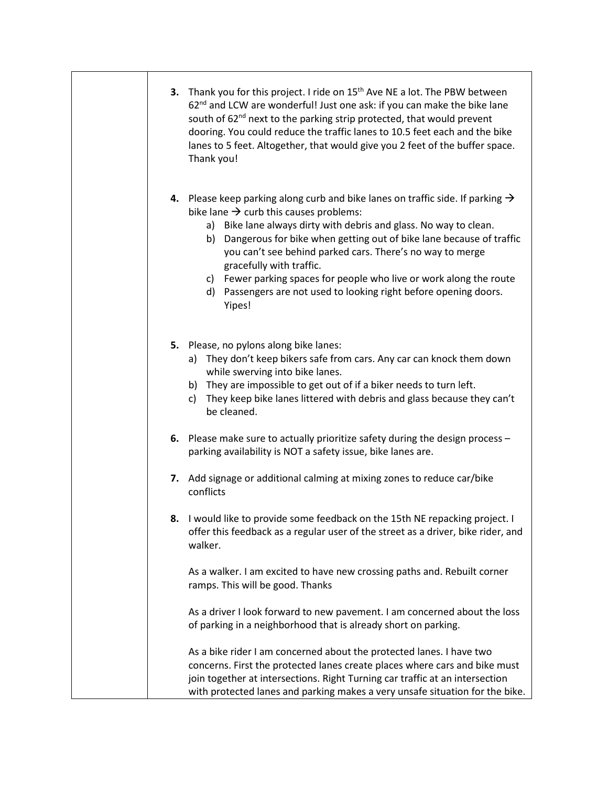| Thank you for this project. I ride on 15 <sup>th</sup> Ave NE a lot. The PBW between<br>3.<br>62 <sup>nd</sup> and LCW are wonderful! Just one ask: if you can make the bike lane<br>south of 62 <sup>nd</sup> next to the parking strip protected, that would prevent<br>dooring. You could reduce the traffic lanes to 10.5 feet each and the bike<br>lanes to 5 feet. Altogether, that would give you 2 feet of the buffer space.<br>Thank you!                                                                                                |
|---------------------------------------------------------------------------------------------------------------------------------------------------------------------------------------------------------------------------------------------------------------------------------------------------------------------------------------------------------------------------------------------------------------------------------------------------------------------------------------------------------------------------------------------------|
| 4. Please keep parking along curb and bike lanes on traffic side. If parking $\rightarrow$<br>bike lane $\rightarrow$ curb this causes problems:<br>a) Bike lane always dirty with debris and glass. No way to clean.<br>b) Dangerous for bike when getting out of bike lane because of traffic<br>you can't see behind parked cars. There's no way to merge<br>gracefully with traffic.<br>c) Fewer parking spaces for people who live or work along the route<br>Passengers are not used to looking right before opening doors.<br>d)<br>Yipes! |
| 5. Please, no pylons along bike lanes:<br>a) They don't keep bikers safe from cars. Any car can knock them down<br>while swerving into bike lanes.<br>b) They are impossible to get out of if a biker needs to turn left.<br>They keep bike lanes littered with debris and glass because they can't<br>c)<br>be cleaned.                                                                                                                                                                                                                          |
| 6. Please make sure to actually prioritize safety during the design process -<br>parking availability is NOT a safety issue, bike lanes are.                                                                                                                                                                                                                                                                                                                                                                                                      |
| 7. Add signage or additional calming at mixing zones to reduce car/bike<br>conflicts                                                                                                                                                                                                                                                                                                                                                                                                                                                              |
| I would like to provide some feedback on the 15th NE repacking project. I<br>8.<br>offer this feedback as a regular user of the street as a driver, bike rider, and<br>walker.                                                                                                                                                                                                                                                                                                                                                                    |
| As a walker. I am excited to have new crossing paths and. Rebuilt corner<br>ramps. This will be good. Thanks                                                                                                                                                                                                                                                                                                                                                                                                                                      |
| As a driver I look forward to new pavement. I am concerned about the loss<br>of parking in a neighborhood that is already short on parking.                                                                                                                                                                                                                                                                                                                                                                                                       |
| As a bike rider I am concerned about the protected lanes. I have two<br>concerns. First the protected lanes create places where cars and bike must<br>join together at intersections. Right Turning car traffic at an intersection<br>with protected lanes and parking makes a very unsafe situation for the bike.                                                                                                                                                                                                                                |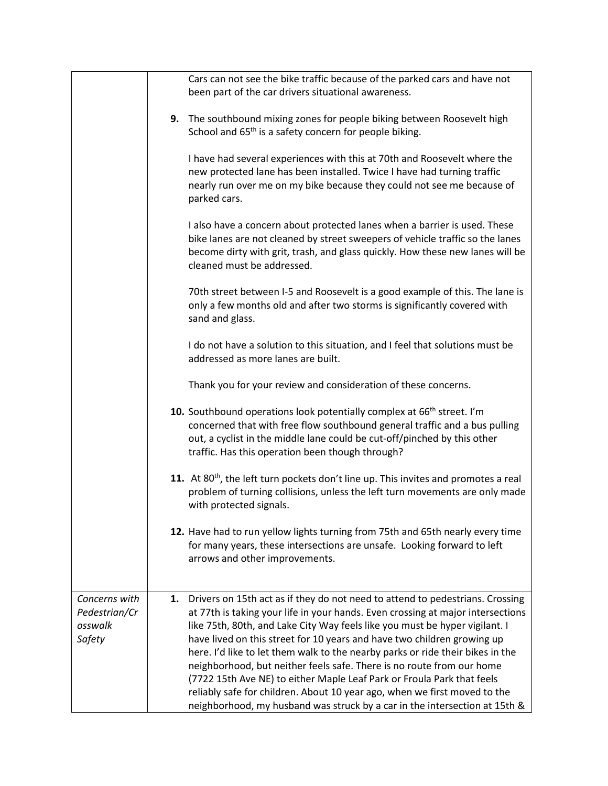|                                    | Cars can not see the bike traffic because of the parked cars and have not<br>been part of the car drivers situational awareness.                                                                                                                                                                                                                                                                                                                                               |
|------------------------------------|--------------------------------------------------------------------------------------------------------------------------------------------------------------------------------------------------------------------------------------------------------------------------------------------------------------------------------------------------------------------------------------------------------------------------------------------------------------------------------|
|                                    | 9. The southbound mixing zones for people biking between Roosevelt high<br>School and 65 <sup>th</sup> is a safety concern for people biking.                                                                                                                                                                                                                                                                                                                                  |
|                                    | I have had several experiences with this at 70th and Roosevelt where the<br>new protected lane has been installed. Twice I have had turning traffic<br>nearly run over me on my bike because they could not see me because of<br>parked cars.                                                                                                                                                                                                                                  |
|                                    | I also have a concern about protected lanes when a barrier is used. These<br>bike lanes are not cleaned by street sweepers of vehicle traffic so the lanes<br>become dirty with grit, trash, and glass quickly. How these new lanes will be<br>cleaned must be addressed.                                                                                                                                                                                                      |
|                                    | 70th street between I-5 and Roosevelt is a good example of this. The lane is<br>only a few months old and after two storms is significantly covered with<br>sand and glass.                                                                                                                                                                                                                                                                                                    |
|                                    | I do not have a solution to this situation, and I feel that solutions must be<br>addressed as more lanes are built.                                                                                                                                                                                                                                                                                                                                                            |
|                                    | Thank you for your review and consideration of these concerns.                                                                                                                                                                                                                                                                                                                                                                                                                 |
|                                    | 10. Southbound operations look potentially complex at 66 <sup>th</sup> street. I'm<br>concerned that with free flow southbound general traffic and a bus pulling<br>out, a cyclist in the middle lane could be cut-off/pinched by this other<br>traffic. Has this operation been though through?                                                                                                                                                                               |
|                                    | 11. At 80 <sup>th</sup> , the left turn pockets don't line up. This invites and promotes a real<br>problem of turning collisions, unless the left turn movements are only made<br>with protected signals.                                                                                                                                                                                                                                                                      |
|                                    | 12. Have had to run yellow lights turning from 75th and 65th nearly every time<br>for many years, these intersections are unsafe. Looking forward to left<br>arrows and other improvements.                                                                                                                                                                                                                                                                                    |
| Concerns with                      | Drivers on 15th act as if they do not need to attend to pedestrians. Crossing<br>1.                                                                                                                                                                                                                                                                                                                                                                                            |
| Pedestrian/Cr<br>osswalk<br>Safety | at 77th is taking your life in your hands. Even crossing at major intersections<br>like 75th, 80th, and Lake City Way feels like you must be hyper vigilant. I<br>have lived on this street for 10 years and have two children growing up<br>here. I'd like to let them walk to the nearby parks or ride their bikes in the<br>neighborhood, but neither feels safe. There is no route from our home<br>(7722 15th Ave NE) to either Maple Leaf Park or Froula Park that feels |
|                                    | reliably safe for children. About 10 year ago, when we first moved to the<br>neighborhood, my husband was struck by a car in the intersection at 15th &                                                                                                                                                                                                                                                                                                                        |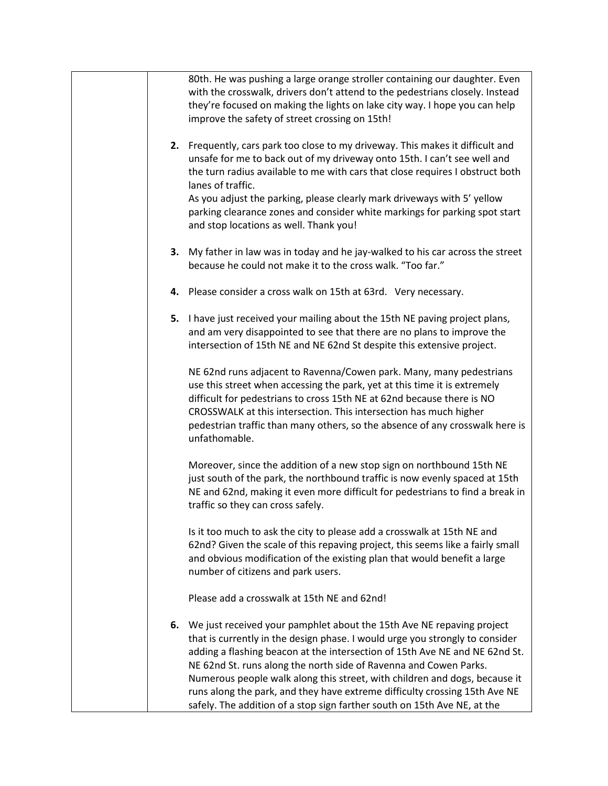| 80th. He was pushing a large orange stroller containing our daughter. Even<br>with the crosswalk, drivers don't attend to the pedestrians closely. Instead<br>they're focused on making the lights on lake city way. I hope you can help<br>improve the safety of street crossing on 15th!                                                                                                       |
|--------------------------------------------------------------------------------------------------------------------------------------------------------------------------------------------------------------------------------------------------------------------------------------------------------------------------------------------------------------------------------------------------|
| 2. Frequently, cars park too close to my driveway. This makes it difficult and<br>unsafe for me to back out of my driveway onto 15th. I can't see well and<br>the turn radius available to me with cars that close requires I obstruct both<br>lanes of traffic.                                                                                                                                 |
| As you adjust the parking, please clearly mark driveways with 5' yellow<br>parking clearance zones and consider white markings for parking spot start<br>and stop locations as well. Thank you!                                                                                                                                                                                                  |
| 3. My father in law was in today and he jay-walked to his car across the street<br>because he could not make it to the cross walk. "Too far."                                                                                                                                                                                                                                                    |
| Please consider a cross walk on 15th at 63rd. Very necessary.<br>4.                                                                                                                                                                                                                                                                                                                              |
| 5. I have just received your mailing about the 15th NE paving project plans,<br>and am very disappointed to see that there are no plans to improve the<br>intersection of 15th NE and NE 62nd St despite this extensive project.                                                                                                                                                                 |
| NE 62nd runs adjacent to Ravenna/Cowen park. Many, many pedestrians<br>use this street when accessing the park, yet at this time it is extremely<br>difficult for pedestrians to cross 15th NE at 62nd because there is NO<br>CROSSWALK at this intersection. This intersection has much higher<br>pedestrian traffic than many others, so the absence of any crosswalk here is<br>unfathomable. |
| Moreover, since the addition of a new stop sign on northbound 15th NE<br>just south of the park, the northbound traffic is now evenly spaced at 15th<br>NE and 62nd, making it even more difficult for pedestrians to find a break in<br>traffic so they can cross safely.                                                                                                                       |
| Is it too much to ask the city to please add a crosswalk at 15th NE and<br>62nd? Given the scale of this repaving project, this seems like a fairly small<br>and obvious modification of the existing plan that would benefit a large<br>number of citizens and park users.                                                                                                                      |
| Please add a crosswalk at 15th NE and 62nd!                                                                                                                                                                                                                                                                                                                                                      |
| We just received your pamphlet about the 15th Ave NE repaving project<br>6.<br>that is currently in the design phase. I would urge you strongly to consider<br>adding a flashing beacon at the intersection of 15th Ave NE and NE 62nd St.<br>NE 62nd St. runs along the north side of Ravenna and Cowen Parks.<br>Numerous people walk along this street, with children and dogs, because it    |
| runs along the park, and they have extreme difficulty crossing 15th Ave NE<br>safely. The addition of a stop sign farther south on 15th Ave NE, at the                                                                                                                                                                                                                                           |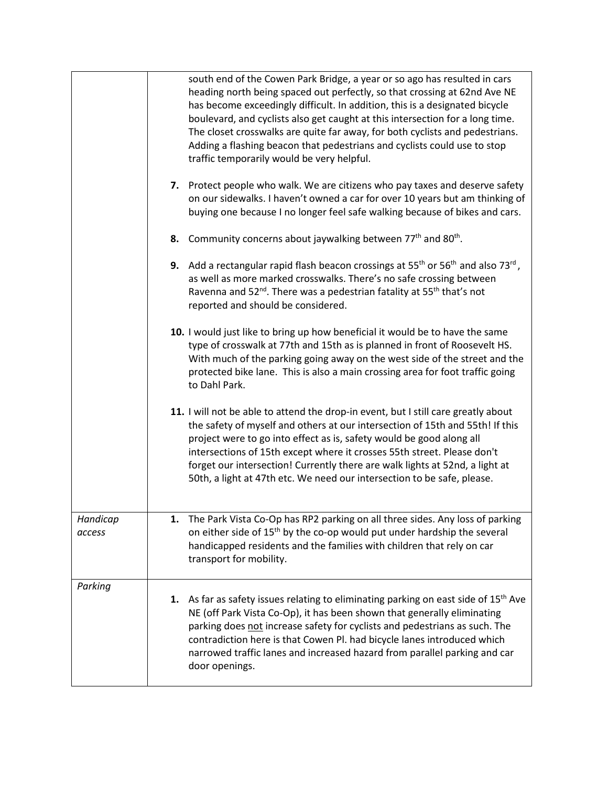|                    | south end of the Cowen Park Bridge, a year or so ago has resulted in cars<br>heading north being spaced out perfectly, so that crossing at 62nd Ave NE<br>has become exceedingly difficult. In addition, this is a designated bicycle<br>boulevard, and cyclists also get caught at this intersection for a long time.<br>The closet crosswalks are quite far away, for both cyclists and pedestrians.<br>Adding a flashing beacon that pedestrians and cyclists could use to stop<br>traffic temporarily would be very helpful. |
|--------------------|----------------------------------------------------------------------------------------------------------------------------------------------------------------------------------------------------------------------------------------------------------------------------------------------------------------------------------------------------------------------------------------------------------------------------------------------------------------------------------------------------------------------------------|
|                    | Protect people who walk. We are citizens who pay taxes and deserve safety<br>7.<br>on our sidewalks. I haven't owned a car for over 10 years but am thinking of<br>buying one because I no longer feel safe walking because of bikes and cars.                                                                                                                                                                                                                                                                                   |
|                    | 8. Community concerns about jaywalking between $77th$ and $80th$ .                                                                                                                                                                                                                                                                                                                                                                                                                                                               |
|                    | 9. Add a rectangular rapid flash beacon crossings at $55th$ or $56th$ and also $73rd$ ,<br>as well as more marked crosswalks. There's no safe crossing between<br>Ravenna and 52 <sup>nd</sup> . There was a pedestrian fatality at 55 <sup>th</sup> that's not<br>reported and should be considered.                                                                                                                                                                                                                            |
|                    | 10. I would just like to bring up how beneficial it would be to have the same<br>type of crosswalk at 77th and 15th as is planned in front of Roosevelt HS.<br>With much of the parking going away on the west side of the street and the<br>protected bike lane. This is also a main crossing area for foot traffic going<br>to Dahl Park.                                                                                                                                                                                      |
|                    | 11. I will not be able to attend the drop-in event, but I still care greatly about<br>the safety of myself and others at our intersection of 15th and 55th! If this<br>project were to go into effect as is, safety would be good along all<br>intersections of 15th except where it crosses 55th street. Please don't<br>forget our intersection! Currently there are walk lights at 52nd, a light at<br>50th, a light at 47th etc. We need our intersection to be safe, please.                                                |
| Handicap<br>access | 1.<br>The Park Vista Co-Op has RP2 parking on all three sides. Any loss of parking<br>on either side of 15 <sup>th</sup> by the co-op would put under hardship the several<br>handicapped residents and the families with children that rely on car<br>transport for mobility.                                                                                                                                                                                                                                                   |
| Parking            | 1. As far as safety issues relating to eliminating parking on east side of 15 <sup>th</sup> Ave<br>NE (off Park Vista Co-Op), it has been shown that generally eliminating<br>parking does not increase safety for cyclists and pedestrians as such. The<br>contradiction here is that Cowen Pl. had bicycle lanes introduced which<br>narrowed traffic lanes and increased hazard from parallel parking and car<br>door openings.                                                                                               |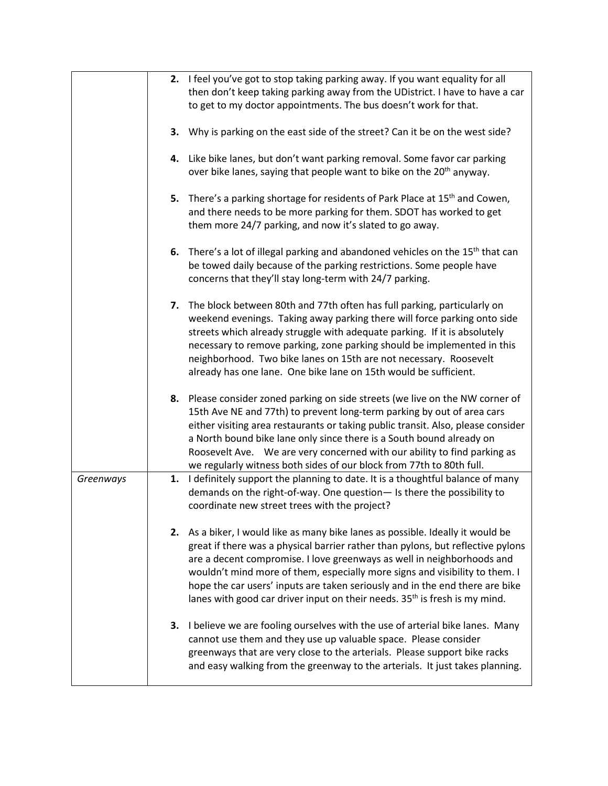|           |    | 2. I feel you've got to stop taking parking away. If you want equality for all                                                                        |
|-----------|----|-------------------------------------------------------------------------------------------------------------------------------------------------------|
|           |    | then don't keep taking parking away from the UDistrict. I have to have a car                                                                          |
|           |    | to get to my doctor appointments. The bus doesn't work for that.                                                                                      |
|           |    |                                                                                                                                                       |
|           |    | 3. Why is parking on the east side of the street? Can it be on the west side?                                                                         |
|           |    |                                                                                                                                                       |
|           |    | 4. Like bike lanes, but don't want parking removal. Some favor car parking                                                                            |
|           |    | over bike lanes, saying that people want to bike on the 20 <sup>th</sup> anyway.                                                                      |
|           |    |                                                                                                                                                       |
|           | 5. | There's a parking shortage for residents of Park Place at 15 <sup>th</sup> and Cowen,                                                                 |
|           |    | and there needs to be more parking for them. SDOT has worked to get                                                                                   |
|           |    | them more 24/7 parking, and now it's slated to go away.                                                                                               |
|           |    |                                                                                                                                                       |
|           |    | 6. There's a lot of illegal parking and abandoned vehicles on the $15th$ that can                                                                     |
|           |    | be towed daily because of the parking restrictions. Some people have                                                                                  |
|           |    | concerns that they'll stay long-term with 24/7 parking.                                                                                               |
|           |    |                                                                                                                                                       |
|           | 7. | The block between 80th and 77th often has full parking, particularly on                                                                               |
|           |    | weekend evenings. Taking away parking there will force parking onto side                                                                              |
|           |    | streets which already struggle with adequate parking. If it is absolutely                                                                             |
|           |    | necessary to remove parking, zone parking should be implemented in this                                                                               |
|           |    | neighborhood. Two bike lanes on 15th are not necessary. Roosevelt                                                                                     |
|           |    | already has one lane. One bike lane on 15th would be sufficient.                                                                                      |
|           |    |                                                                                                                                                       |
|           | 8. | Please consider zoned parking on side streets (we live on the NW corner of                                                                            |
|           |    | 15th Ave NE and 77th) to prevent long-term parking by out of area cars                                                                                |
|           |    | either visiting area restaurants or taking public transit. Also, please consider                                                                      |
|           |    | a North bound bike lane only since there is a South bound already on                                                                                  |
|           |    | Roosevelt Ave. We are very concerned with our ability to find parking as                                                                              |
|           | 1. | we regularly witness both sides of our block from 77th to 80th full.<br>I definitely support the planning to date. It is a thoughtful balance of many |
| Greenways |    | demands on the right-of-way. One question- Is there the possibility to                                                                                |
|           |    | coordinate new street trees with the project?                                                                                                         |
|           |    |                                                                                                                                                       |
|           |    | 2. As a biker, I would like as many bike lanes as possible. Ideally it would be                                                                       |
|           |    | great if there was a physical barrier rather than pylons, but reflective pylons                                                                       |
|           |    | are a decent compromise. I love greenways as well in neighborhoods and                                                                                |
|           |    | wouldn't mind more of them, especially more signs and visibility to them. I                                                                           |
|           |    | hope the car users' inputs are taken seriously and in the end there are bike                                                                          |
|           |    | lanes with good car driver input on their needs. 35 <sup>th</sup> is fresh is my mind.                                                                |
|           |    |                                                                                                                                                       |
|           |    | 3. I believe we are fooling ourselves with the use of arterial bike lanes. Many                                                                       |
|           |    | cannot use them and they use up valuable space. Please consider                                                                                       |
|           |    | greenways that are very close to the arterials. Please support bike racks                                                                             |
|           |    | and easy walking from the greenway to the arterials. It just takes planning.                                                                          |
|           |    |                                                                                                                                                       |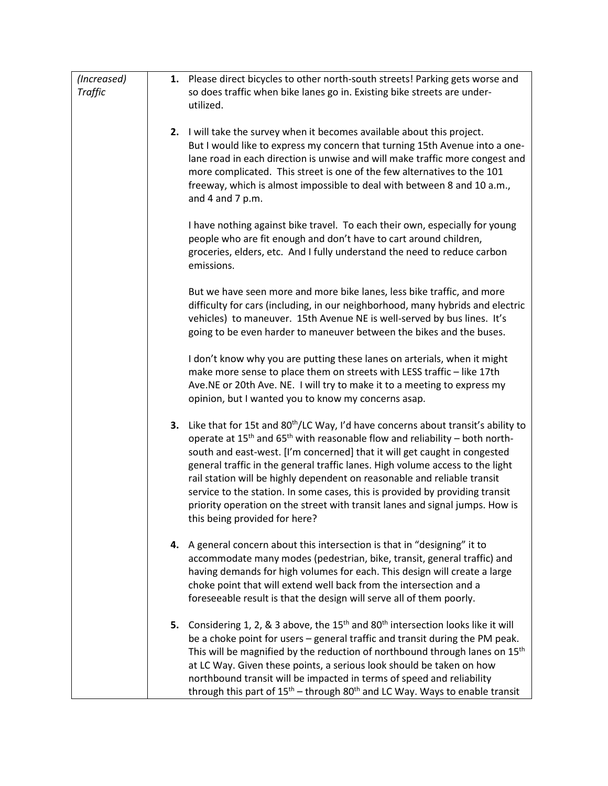| (Increased)<br><b>Traffic</b> |    | 1. Please direct bicycles to other north-south streets! Parking gets worse and<br>so does traffic when bike lanes go in. Existing bike streets are under-<br>utilized.                                                                                                                                                                                                                                                                                                                                                                                                                                                     |
|-------------------------------|----|----------------------------------------------------------------------------------------------------------------------------------------------------------------------------------------------------------------------------------------------------------------------------------------------------------------------------------------------------------------------------------------------------------------------------------------------------------------------------------------------------------------------------------------------------------------------------------------------------------------------------|
|                               |    | 2. I will take the survey when it becomes available about this project.<br>But I would like to express my concern that turning 15th Avenue into a one-<br>lane road in each direction is unwise and will make traffic more congest and<br>more complicated. This street is one of the few alternatives to the 101<br>freeway, which is almost impossible to deal with between 8 and 10 a.m.,<br>and 4 and 7 p.m.                                                                                                                                                                                                           |
|                               |    | I have nothing against bike travel. To each their own, especially for young<br>people who are fit enough and don't have to cart around children,<br>groceries, elders, etc. And I fully understand the need to reduce carbon<br>emissions.                                                                                                                                                                                                                                                                                                                                                                                 |
|                               |    | But we have seen more and more bike lanes, less bike traffic, and more<br>difficulty for cars (including, in our neighborhood, many hybrids and electric<br>vehicles) to maneuver. 15th Avenue NE is well-served by bus lines. It's<br>going to be even harder to maneuver between the bikes and the buses.                                                                                                                                                                                                                                                                                                                |
|                               |    | I don't know why you are putting these lanes on arterials, when it might<br>make more sense to place them on streets with LESS traffic - like 17th<br>Ave.NE or 20th Ave. NE. I will try to make it to a meeting to express my<br>opinion, but I wanted you to know my concerns asap.                                                                                                                                                                                                                                                                                                                                      |
|                               | 3. | Like that for 15t and 80 <sup>th</sup> /LC Way, I'd have concerns about transit's ability to<br>operate at $15th$ and $65th$ with reasonable flow and reliability – both north-<br>south and east-west. [I'm concerned] that it will get caught in congested<br>general traffic in the general traffic lanes. High volume access to the light<br>rail station will be highly dependent on reasonable and reliable transit<br>service to the station. In some cases, this is provided by providing transit<br>priority operation on the street with transit lanes and signal jumps. How is<br>this being provided for here? |
|                               |    | 4. A general concern about this intersection is that in "designing" it to<br>accommodate many modes (pedestrian, bike, transit, general traffic) and<br>having demands for high volumes for each. This design will create a large<br>choke point that will extend well back from the intersection and a<br>foreseeable result is that the design will serve all of them poorly.                                                                                                                                                                                                                                            |
|                               |    | 5. Considering 1, 2, & 3 above, the 15 <sup>th</sup> and 80 <sup>th</sup> intersection looks like it will<br>be a choke point for users - general traffic and transit during the PM peak.<br>This will be magnified by the reduction of northbound through lanes on 15 <sup>th</sup><br>at LC Way. Given these points, a serious look should be taken on how<br>northbound transit will be impacted in terms of speed and reliability<br>through this part of 15 <sup>th</sup> – through 80 <sup>th</sup> and LC Way. Ways to enable transit                                                                               |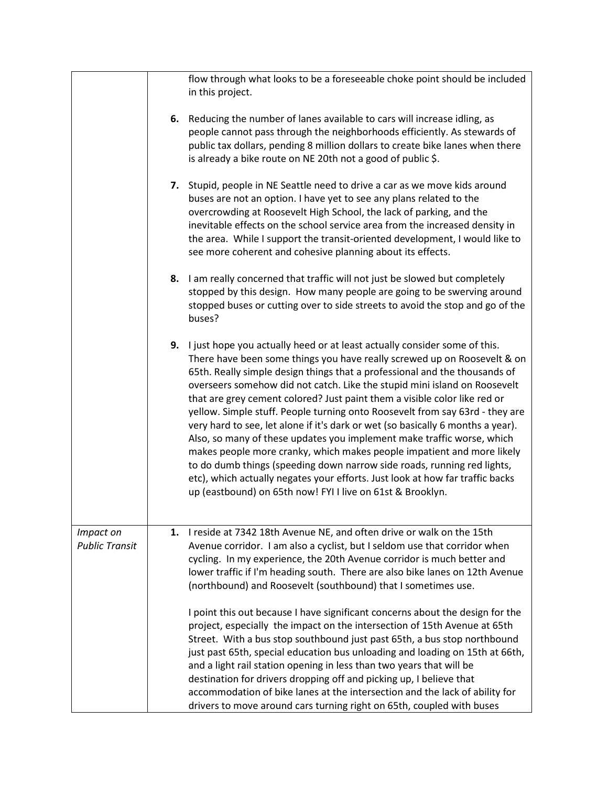|                                    | flow through what looks to be a foreseeable choke point should be included<br>in this project.                                                                                                                                                                                                                                                                                                                                                                                                                                                                                                                                                                                                                                                                                                                                                                                                                                                                                                                      |
|------------------------------------|---------------------------------------------------------------------------------------------------------------------------------------------------------------------------------------------------------------------------------------------------------------------------------------------------------------------------------------------------------------------------------------------------------------------------------------------------------------------------------------------------------------------------------------------------------------------------------------------------------------------------------------------------------------------------------------------------------------------------------------------------------------------------------------------------------------------------------------------------------------------------------------------------------------------------------------------------------------------------------------------------------------------|
|                                    | 6. Reducing the number of lanes available to cars will increase idling, as<br>people cannot pass through the neighborhoods efficiently. As stewards of<br>public tax dollars, pending 8 million dollars to create bike lanes when there<br>is already a bike route on NE 20th not a good of public \$.                                                                                                                                                                                                                                                                                                                                                                                                                                                                                                                                                                                                                                                                                                              |
|                                    | Stupid, people in NE Seattle need to drive a car as we move kids around<br>7.<br>buses are not an option. I have yet to see any plans related to the<br>overcrowding at Roosevelt High School, the lack of parking, and the<br>inevitable effects on the school service area from the increased density in<br>the area. While I support the transit-oriented development, I would like to<br>see more coherent and cohesive planning about its effects.                                                                                                                                                                                                                                                                                                                                                                                                                                                                                                                                                             |
|                                    | 8. I am really concerned that traffic will not just be slowed but completely<br>stopped by this design. How many people are going to be swerving around<br>stopped buses or cutting over to side streets to avoid the stop and go of the<br>buses?                                                                                                                                                                                                                                                                                                                                                                                                                                                                                                                                                                                                                                                                                                                                                                  |
|                                    | 9. I just hope you actually heed or at least actually consider some of this.<br>There have been some things you have really screwed up on Roosevelt & on<br>65th. Really simple design things that a professional and the thousands of<br>overseers somehow did not catch. Like the stupid mini island on Roosevelt<br>that are grey cement colored? Just paint them a visible color like red or<br>yellow. Simple stuff. People turning onto Roosevelt from say 63rd - they are<br>very hard to see, let alone if it's dark or wet (so basically 6 months a year).<br>Also, so many of these updates you implement make traffic worse, which<br>makes people more cranky, which makes people impatient and more likely<br>to do dumb things (speeding down narrow side roads, running red lights,<br>etc), which actually negates your efforts. Just look at how far traffic backs<br>up (eastbound) on 65th now! FYI I live on 61st & Brooklyn.                                                                   |
| Impact on<br><b>Public Transit</b> | I reside at 7342 18th Avenue NE, and often drive or walk on the 15th<br>1.<br>Avenue corridor. I am also a cyclist, but I seldom use that corridor when<br>cycling. In my experience, the 20th Avenue corridor is much better and<br>lower traffic if I'm heading south. There are also bike lanes on 12th Avenue<br>(northbound) and Roosevelt (southbound) that I sometimes use.<br>I point this out because I have significant concerns about the design for the<br>project, especially the impact on the intersection of 15th Avenue at 65th<br>Street. With a bus stop southbound just past 65th, a bus stop northbound<br>just past 65th, special education bus unloading and loading on 15th at 66th,<br>and a light rail station opening in less than two years that will be<br>destination for drivers dropping off and picking up, I believe that<br>accommodation of bike lanes at the intersection and the lack of ability for<br>drivers to move around cars turning right on 65th, coupled with buses |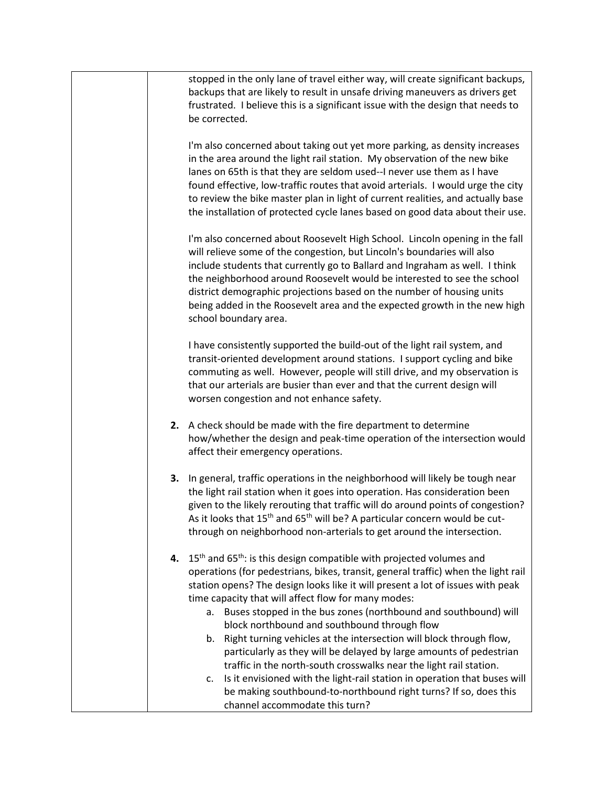stopped in the only lane of travel either way, will create significant backups, backups that are likely to result in unsafe driving maneuvers as drivers get frustrated. I believe this is a significant issue with the design that needs to be corrected.

I'm also concerned about taking out yet more parking, as density increases in the area around the light rail station. My observation of the new bike lanes on 65th is that they are seldom used--I never use them as I have found effective, low-traffic routes that avoid arterials. I would urge the city to review the bike master plan in light of current realities, and actually base the installation of protected cycle lanes based on good data about their use.

I'm also concerned about Roosevelt High School. Lincoln opening in the fall will relieve some of the congestion, but Lincoln's boundaries will also include students that currently go to Ballard and Ingraham as well. I think the neighborhood around Roosevelt would be interested to see the school district demographic projections based on the number of housing units being added in the Roosevelt area and the expected growth in the new high school boundary area.

I have consistently supported the build-out of the light rail system, and transit-oriented development around stations. I support cycling and bike commuting as well. However, people will still drive, and my observation is that our arterials are busier than ever and that the current design will worsen congestion and not enhance safety.

- **2.** A check should be made with the fire department to determine how/whether the design and peak-time operation of the intersection would affect their emergency operations.
- **3.** In general, traffic operations in the neighborhood will likely be tough near the light rail station when it goes into operation. Has consideration been given to the likely rerouting that traffic will do around points of congestion? As it looks that  $15^{th}$  and  $65^{th}$  will be? A particular concern would be cutthrough on neighborhood non-arterials to get around the intersection.
- **4.** 15<sup>th</sup> and 65<sup>th</sup>: is this design compatible with projected volumes and operations (for pedestrians, bikes, transit, general traffic) when the light rail station opens? The design looks like it will present a lot of issues with peak time capacity that will affect flow for many modes:
	- a. Buses stopped in the bus zones (northbound and southbound) will block northbound and southbound through flow
	- b. Right turning vehicles at the intersection will block through flow, particularly as they will be delayed by large amounts of pedestrian traffic in the north-south crosswalks near the light rail station.
	- c. Is it envisioned with the light-rail station in operation that buses will be making southbound-to-northbound right turns? If so, does this channel accommodate this turn?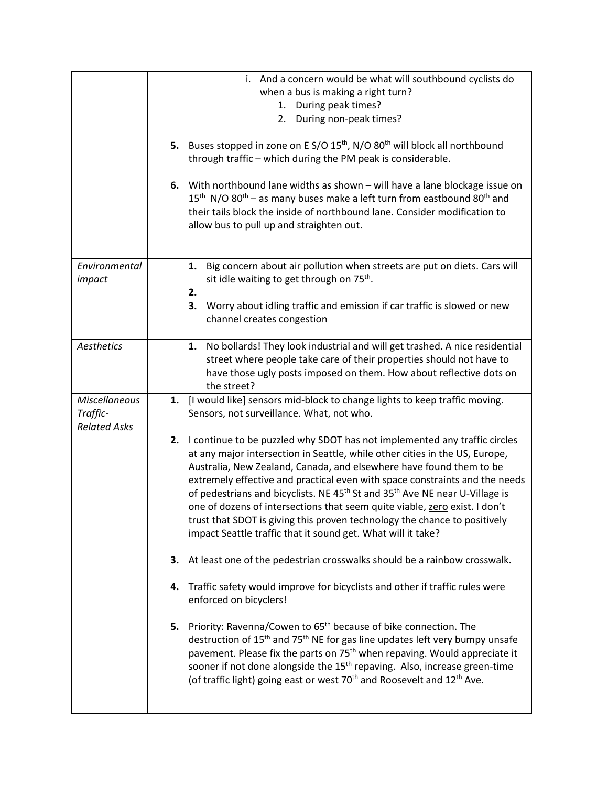|                         | i. And a concern would be what will southbound cyclists do                                                                                                                                                                                                                                                |
|-------------------------|-----------------------------------------------------------------------------------------------------------------------------------------------------------------------------------------------------------------------------------------------------------------------------------------------------------|
|                         | when a bus is making a right turn?                                                                                                                                                                                                                                                                        |
|                         | 1. During peak times?                                                                                                                                                                                                                                                                                     |
|                         | During non-peak times?<br>2.                                                                                                                                                                                                                                                                              |
|                         | 5. Buses stopped in zone on E S/O 15 <sup>th</sup> , N/O 80 <sup>th</sup> will block all northbound                                                                                                                                                                                                       |
|                         | through traffic - which during the PM peak is considerable.                                                                                                                                                                                                                                               |
|                         |                                                                                                                                                                                                                                                                                                           |
|                         | 6. With northbound lane widths as shown - will have a lane blockage issue on<br>$15th$ N/O 80 <sup>th</sup> – as many buses make a left turn from eastbound 80 <sup>th</sup> and<br>their tails block the inside of northbound lane. Consider modification to<br>allow bus to pull up and straighten out. |
|                         |                                                                                                                                                                                                                                                                                                           |
| Environmental<br>impact | 1. Big concern about air pollution when streets are put on diets. Cars will<br>sit idle waiting to get through on 75 <sup>th</sup> .                                                                                                                                                                      |
|                         | 2.                                                                                                                                                                                                                                                                                                        |
|                         | 3.<br>Worry about idling traffic and emission if car traffic is slowed or new                                                                                                                                                                                                                             |
|                         | channel creates congestion                                                                                                                                                                                                                                                                                |
| Aesthetics              | 1. No bollards! They look industrial and will get trashed. A nice residential                                                                                                                                                                                                                             |
|                         | street where people take care of their properties should not have to                                                                                                                                                                                                                                      |
|                         | have those ugly posts imposed on them. How about reflective dots on                                                                                                                                                                                                                                       |
|                         | the street?                                                                                                                                                                                                                                                                                               |
| <b>Miscellaneous</b>    | [I would like] sensors mid-block to change lights to keep traffic moving.<br>1.                                                                                                                                                                                                                           |
|                         |                                                                                                                                                                                                                                                                                                           |
| Traffic-                | Sensors, not surveillance. What, not who.                                                                                                                                                                                                                                                                 |
| <b>Related Asks</b>     |                                                                                                                                                                                                                                                                                                           |
|                         | 2. I continue to be puzzled why SDOT has not implemented any traffic circles                                                                                                                                                                                                                              |
|                         | at any major intersection in Seattle, while other cities in the US, Europe,                                                                                                                                                                                                                               |
|                         | Australia, New Zealand, Canada, and elsewhere have found them to be                                                                                                                                                                                                                                       |
|                         | extremely effective and practical even with space constraints and the needs                                                                                                                                                                                                                               |
|                         | of pedestrians and bicyclists. NE 45 <sup>th</sup> St and 35 <sup>th</sup> Ave NE near U-Village is                                                                                                                                                                                                       |
|                         | one of dozens of intersections that seem quite viable, zero exist. I don't                                                                                                                                                                                                                                |
|                         | trust that SDOT is giving this proven technology the chance to positively                                                                                                                                                                                                                                 |
|                         | impact Seattle traffic that it sound get. What will it take?                                                                                                                                                                                                                                              |
|                         | 3.<br>At least one of the pedestrian crosswalks should be a rainbow crosswalk.                                                                                                                                                                                                                            |
|                         | Traffic safety would improve for bicyclists and other if traffic rules were<br>4.<br>enforced on bicyclers!                                                                                                                                                                                               |
|                         |                                                                                                                                                                                                                                                                                                           |
|                         | 5. Priority: Ravenna/Cowen to 65 <sup>th</sup> because of bike connection. The                                                                                                                                                                                                                            |
|                         | destruction of 15 <sup>th</sup> and 75 <sup>th</sup> NE for gas line updates left very bumpy unsafe                                                                                                                                                                                                       |
|                         | pavement. Please fix the parts on 75 <sup>th</sup> when repaving. Would appreciate it                                                                                                                                                                                                                     |
|                         | sooner if not done alongside the 15 <sup>th</sup> repaving. Also, increase green-time<br>(of traffic light) going east or west 70 <sup>th</sup> and Roosevelt and 12 <sup>th</sup> Ave.                                                                                                                   |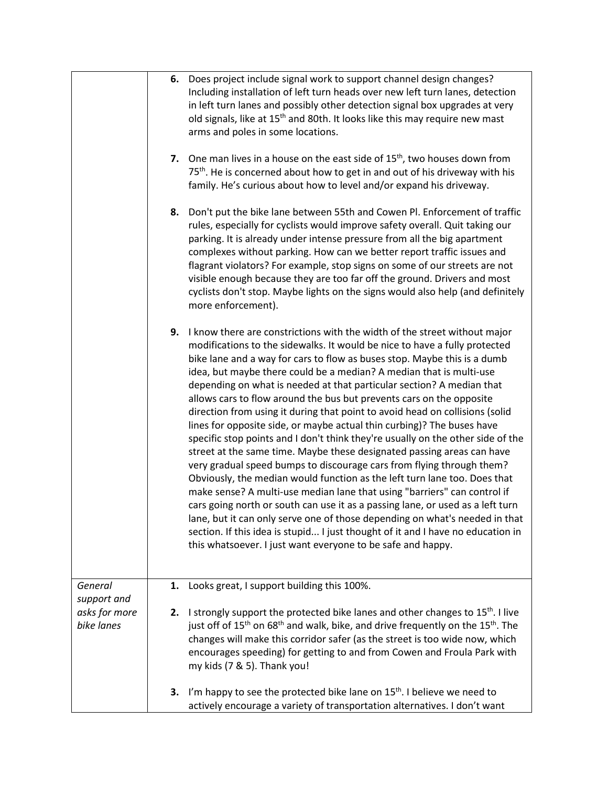|                             | Does project include signal work to support channel design changes?<br>6.<br>Including installation of left turn heads over new left turn lanes, detection<br>in left turn lanes and possibly other detection signal box upgrades at very<br>old signals, like at 15 <sup>th</sup> and 80th. It looks like this may require new mast<br>arms and poles in some locations.<br>7. One man lives in a house on the east side of $15th$ , two houses down from<br>75 <sup>th</sup> . He is concerned about how to get in and out of his driveway with his<br>family. He's curious about how to level and/or expand his driveway.<br>Don't put the bike lane between 55th and Cowen Pl. Enforcement of traffic<br>8.<br>rules, especially for cyclists would improve safety overall. Quit taking our<br>parking. It is already under intense pressure from all the big apartment<br>complexes without parking. How can we better report traffic issues and<br>flagrant violators? For example, stop signs on some of our streets are not<br>visible enough because they are too far off the ground. Drivers and most<br>cyclists don't stop. Maybe lights on the signs would also help (and definitely<br>more enforcement).                                                                                                                       |
|-----------------------------|-----------------------------------------------------------------------------------------------------------------------------------------------------------------------------------------------------------------------------------------------------------------------------------------------------------------------------------------------------------------------------------------------------------------------------------------------------------------------------------------------------------------------------------------------------------------------------------------------------------------------------------------------------------------------------------------------------------------------------------------------------------------------------------------------------------------------------------------------------------------------------------------------------------------------------------------------------------------------------------------------------------------------------------------------------------------------------------------------------------------------------------------------------------------------------------------------------------------------------------------------------------------------------------------------------------------------------------------------|
|                             | 9.<br>I know there are constrictions with the width of the street without major<br>modifications to the sidewalks. It would be nice to have a fully protected<br>bike lane and a way for cars to flow as buses stop. Maybe this is a dumb<br>idea, but maybe there could be a median? A median that is multi-use<br>depending on what is needed at that particular section? A median that<br>allows cars to flow around the bus but prevents cars on the opposite<br>direction from using it during that point to avoid head on collisions (solid<br>lines for opposite side, or maybe actual thin curbing)? The buses have<br>specific stop points and I don't think they're usually on the other side of the<br>street at the same time. Maybe these designated passing areas can have<br>very gradual speed bumps to discourage cars from flying through them?<br>Obviously, the median would function as the left turn lane too. Does that<br>make sense? A multi-use median lane that using "barriers" can control if<br>cars going north or south can use it as a passing lane, or used as a left turn<br>lane, but it can only serve one of those depending on what's needed in that<br>section. If this idea is stupid I just thought of it and I have no education in<br>this whatsoever. I just want everyone to be safe and happy. |
| General<br>support and      | Looks great, I support building this 100%.<br>1.                                                                                                                                                                                                                                                                                                                                                                                                                                                                                                                                                                                                                                                                                                                                                                                                                                                                                                                                                                                                                                                                                                                                                                                                                                                                                              |
| asks for more<br>bike lanes | I strongly support the protected bike lanes and other changes to 15 <sup>th</sup> . I live<br>2.<br>just off of 15 <sup>th</sup> on 68 <sup>th</sup> and walk, bike, and drive frequently on the 15 <sup>th</sup> . The<br>changes will make this corridor safer (as the street is too wide now, which<br>encourages speeding) for getting to and from Cowen and Froula Park with<br>my kids (7 & 5). Thank you!                                                                                                                                                                                                                                                                                                                                                                                                                                                                                                                                                                                                                                                                                                                                                                                                                                                                                                                              |
|                             | I'm happy to see the protected bike lane on $15th$ . I believe we need to<br>3.<br>actively encourage a variety of transportation alternatives. I don't want                                                                                                                                                                                                                                                                                                                                                                                                                                                                                                                                                                                                                                                                                                                                                                                                                                                                                                                                                                                                                                                                                                                                                                                  |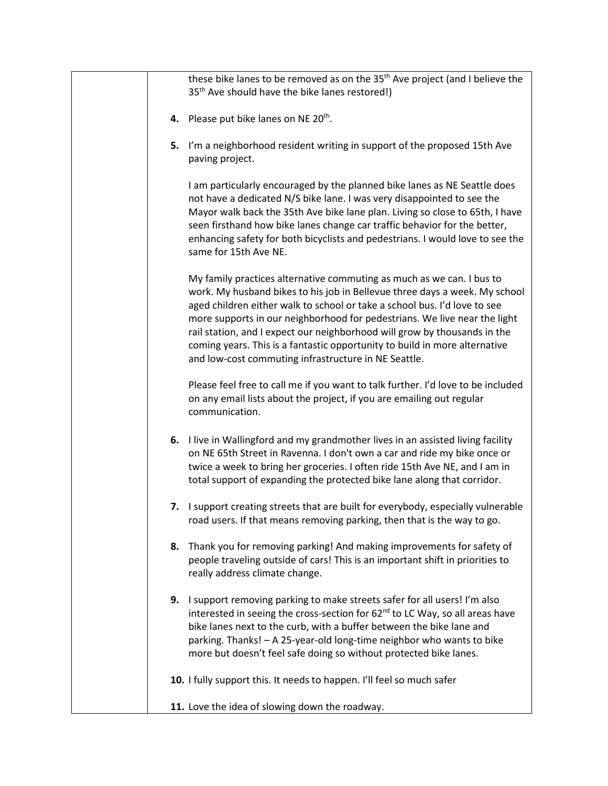these bike lanes to be removed as on the 35<sup>th</sup> Ave project (and I believe the 35<sup>th</sup> Ave should have the bike lanes restored!)

- **4.** Please put bike lanes on NE 20<sup>th</sup>.
- **5.** I'm a neighborhood resident writing in support of the proposed 15th Ave paving project.

I am particularly encouraged by the planned bike lanes as NE Seattle does not have a dedicated N/S bike lane. I was very disappointed to see the Mayor walk back the 35th Ave bike lane plan. Living so close to 65th, I have seen firsthand how bike lanes change car traffic behavior for the better, enhancing safety for both bicyclists and pedestrians. I would love to see the same for 15th Ave NE.

My family practices alternative commuting as much as we can. I bus to work. My husband bikes to his job in Bellevue three days a week. My school aged children either walk to school or take a school bus. I'd love to see more supports in our neighborhood for pedestrians. We live near the light rail station, and I expect our neighborhood will grow by thousands in the coming years. This is a fantastic opportunity to build in more alternative and low-cost commuting infrastructure in NE Seattle.

Please feel free to call me if you want to talk further. I'd love to be included on any email lists about the project, if you are emailing out regular communication.

- **6.** I live in Wallingford and my grandmother lives in an assisted living facility on NE 65th Street in Ravenna. I don't own a car and ride my bike once or twice a week to bring her groceries. I often ride 15th Ave NE, and I am in total support of expanding the protected bike lane along that corridor.
- **7.** I support creating streets that are built for everybody, especially vulnerable road users. If that means removing parking, then that is the way to go.
- **8.** Thank you for removing parking! And making improvements for safety of people traveling outside of cars! This is an important shift in priorities to really address climate change.
- **9.** I support removing parking to make streets safer for all users! I'm also interested in seeing the cross-section for  $62<sup>nd</sup>$  to LC Way, so all areas have bike lanes next to the curb, with a buffer between the bike lane and parking. Thanks! – A 25-year-old long-time neighbor who wants to bike more but doesn't feel safe doing so without protected bike lanes.
- **10.** I fully support this. It needs to happen. I'll feel so much safer
- **11.** Love the idea of slowing down the roadway.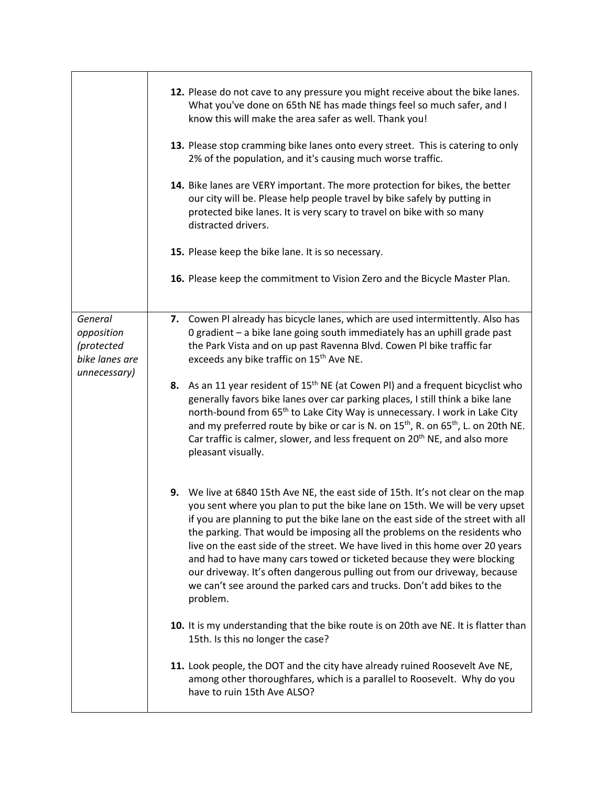|                                                                       | 12. Please do not cave to any pressure you might receive about the bike lanes.<br>What you've done on 65th NE has made things feel so much safer, and I<br>know this will make the area safer as well. Thank you!<br>13. Please stop cramming bike lanes onto every street. This is catering to only<br>2% of the population, and it's causing much worse traffic.<br>14. Bike lanes are VERY important. The more protection for bikes, the better                                                                                                                                                                                                             |
|-----------------------------------------------------------------------|----------------------------------------------------------------------------------------------------------------------------------------------------------------------------------------------------------------------------------------------------------------------------------------------------------------------------------------------------------------------------------------------------------------------------------------------------------------------------------------------------------------------------------------------------------------------------------------------------------------------------------------------------------------|
|                                                                       | our city will be. Please help people travel by bike safely by putting in<br>protected bike lanes. It is very scary to travel on bike with so many<br>distracted drivers.                                                                                                                                                                                                                                                                                                                                                                                                                                                                                       |
|                                                                       | 15. Please keep the bike lane. It is so necessary.                                                                                                                                                                                                                                                                                                                                                                                                                                                                                                                                                                                                             |
|                                                                       | 16. Please keep the commitment to Vision Zero and the Bicycle Master Plan.                                                                                                                                                                                                                                                                                                                                                                                                                                                                                                                                                                                     |
| General<br>opposition<br>(protected<br>bike lanes are<br>unnecessary) | 7. Cowen PI already has bicycle lanes, which are used intermittently. Also has<br>0 gradient - a bike lane going south immediately has an uphill grade past<br>the Park Vista and on up past Ravenna Blvd. Cowen Pl bike traffic far<br>exceeds any bike traffic on 15 <sup>th</sup> Ave NE.                                                                                                                                                                                                                                                                                                                                                                   |
|                                                                       | 8. As an 11 year resident of 15 <sup>th</sup> NE (at Cowen PI) and a frequent bicyclist who<br>generally favors bike lanes over car parking places, I still think a bike lane<br>north-bound from 65 <sup>th</sup> to Lake City Way is unnecessary. I work in Lake City<br>and my preferred route by bike or car is N. on $15^{th}$ , R. on $65^{th}$ , L. on 20th NE.<br>Car traffic is calmer, slower, and less frequent on 20 <sup>th</sup> NE, and also more<br>pleasant visually.                                                                                                                                                                         |
|                                                                       | 9. We live at 6840 15th Ave NE, the east side of 15th. It's not clear on the map<br>you sent where you plan to put the bike lane on 15th. We will be very upset<br>if you are planning to put the bike lane on the east side of the street with all<br>the parking. That would be imposing all the problems on the residents who<br>live on the east side of the street. We have lived in this home over 20 years<br>and had to have many cars towed or ticketed because they were blocking<br>our driveway. It's often dangerous pulling out from our driveway, because<br>we can't see around the parked cars and trucks. Don't add bikes to the<br>problem. |
|                                                                       | 10. It is my understanding that the bike route is on 20th ave NE. It is flatter than<br>15th. Is this no longer the case?                                                                                                                                                                                                                                                                                                                                                                                                                                                                                                                                      |
|                                                                       | 11. Look people, the DOT and the city have already ruined Roosevelt Ave NE,<br>among other thoroughfares, which is a parallel to Roosevelt. Why do you<br>have to ruin 15th Ave ALSO?                                                                                                                                                                                                                                                                                                                                                                                                                                                                          |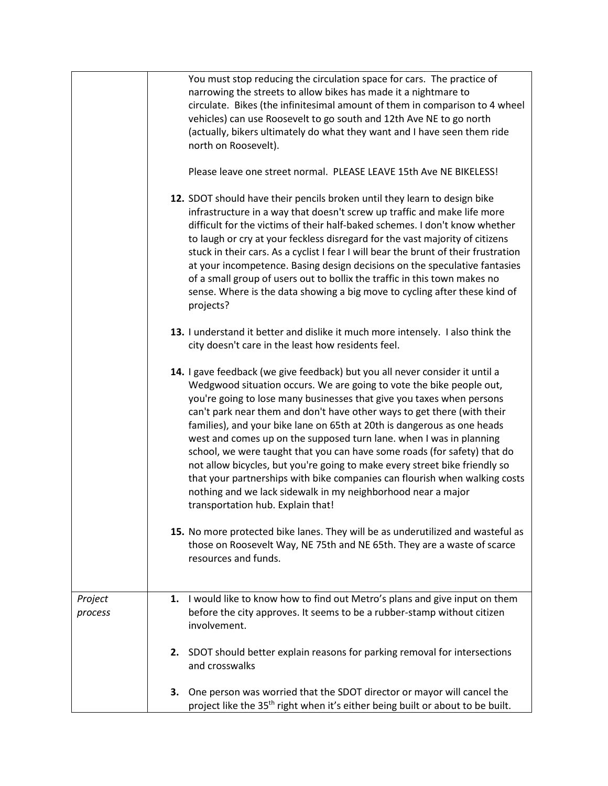|                    | You must stop reducing the circulation space for cars. The practice of<br>narrowing the streets to allow bikes has made it a nightmare to<br>circulate. Bikes (the infinitesimal amount of them in comparison to 4 wheel<br>vehicles) can use Roosevelt to go south and 12th Ave NE to go north<br>(actually, bikers ultimately do what they want and I have seen them ride<br>north on Roosevelt).<br>Please leave one street normal. PLEASE LEAVE 15th Ave NE BIKELESS!                                                                                                                                                                                                                                                                                                                               |
|--------------------|---------------------------------------------------------------------------------------------------------------------------------------------------------------------------------------------------------------------------------------------------------------------------------------------------------------------------------------------------------------------------------------------------------------------------------------------------------------------------------------------------------------------------------------------------------------------------------------------------------------------------------------------------------------------------------------------------------------------------------------------------------------------------------------------------------|
|                    | 12. SDOT should have their pencils broken until they learn to design bike<br>infrastructure in a way that doesn't screw up traffic and make life more<br>difficult for the victims of their half-baked schemes. I don't know whether<br>to laugh or cry at your feckless disregard for the vast majority of citizens<br>stuck in their cars. As a cyclist I fear I will bear the brunt of their frustration<br>at your incompetence. Basing design decisions on the speculative fantasies<br>of a small group of users out to bollix the traffic in this town makes no<br>sense. Where is the data showing a big move to cycling after these kind of<br>projects?                                                                                                                                       |
|                    | 13. I understand it better and dislike it much more intensely. I also think the<br>city doesn't care in the least how residents feel.                                                                                                                                                                                                                                                                                                                                                                                                                                                                                                                                                                                                                                                                   |
|                    | 14. I gave feedback (we give feedback) but you all never consider it until a<br>Wedgwood situation occurs. We are going to vote the bike people out,<br>you're going to lose many businesses that give you taxes when persons<br>can't park near them and don't have other ways to get there (with their<br>families), and your bike lane on 65th at 20th is dangerous as one heads<br>west and comes up on the supposed turn lane. when I was in planning<br>school, we were taught that you can have some roads (for safety) that do<br>not allow bicycles, but you're going to make every street bike friendly so<br>that your partnerships with bike companies can flourish when walking costs<br>nothing and we lack sidewalk in my neighborhood near a major<br>transportation hub. Explain that! |
|                    | 15. No more protected bike lanes. They will be as underutilized and wasteful as<br>those on Roosevelt Way, NE 75th and NE 65th. They are a waste of scarce<br>resources and funds.                                                                                                                                                                                                                                                                                                                                                                                                                                                                                                                                                                                                                      |
| Project<br>process | 1. I would like to know how to find out Metro's plans and give input on them<br>before the city approves. It seems to be a rubber-stamp without citizen<br>involvement.                                                                                                                                                                                                                                                                                                                                                                                                                                                                                                                                                                                                                                 |
|                    | 2. SDOT should better explain reasons for parking removal for intersections<br>and crosswalks                                                                                                                                                                                                                                                                                                                                                                                                                                                                                                                                                                                                                                                                                                           |
|                    | 3. One person was worried that the SDOT director or mayor will cancel the<br>project like the 35 <sup>th</sup> right when it's either being built or about to be built.                                                                                                                                                                                                                                                                                                                                                                                                                                                                                                                                                                                                                                 |